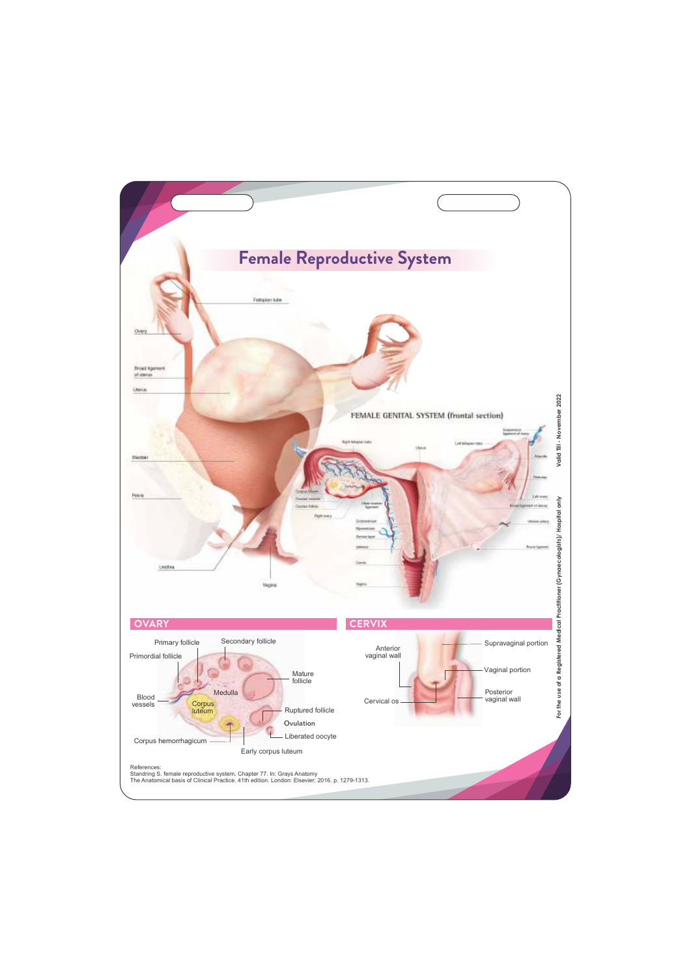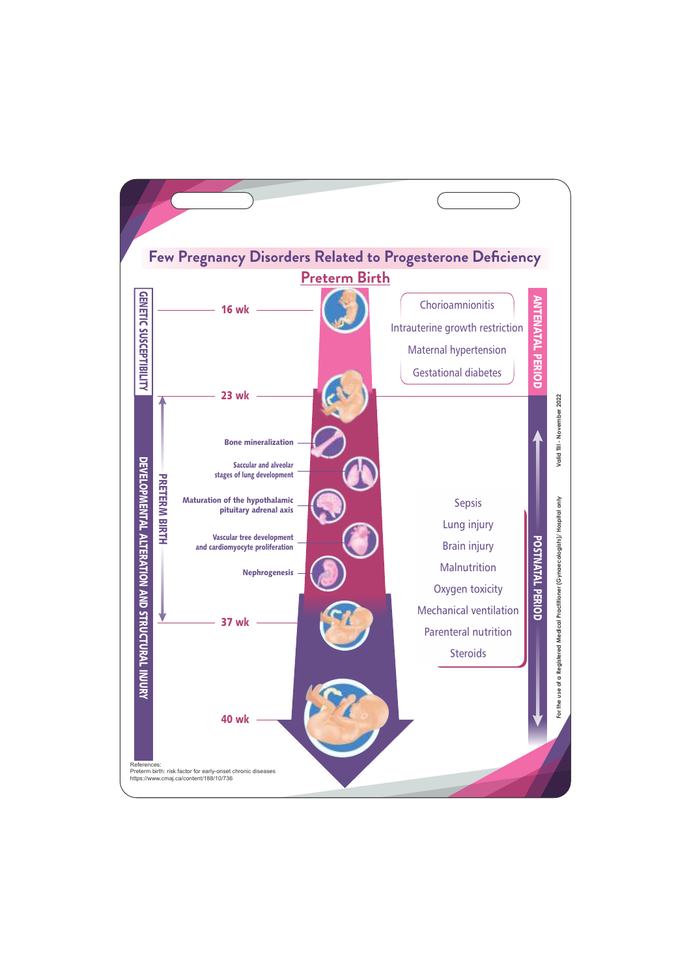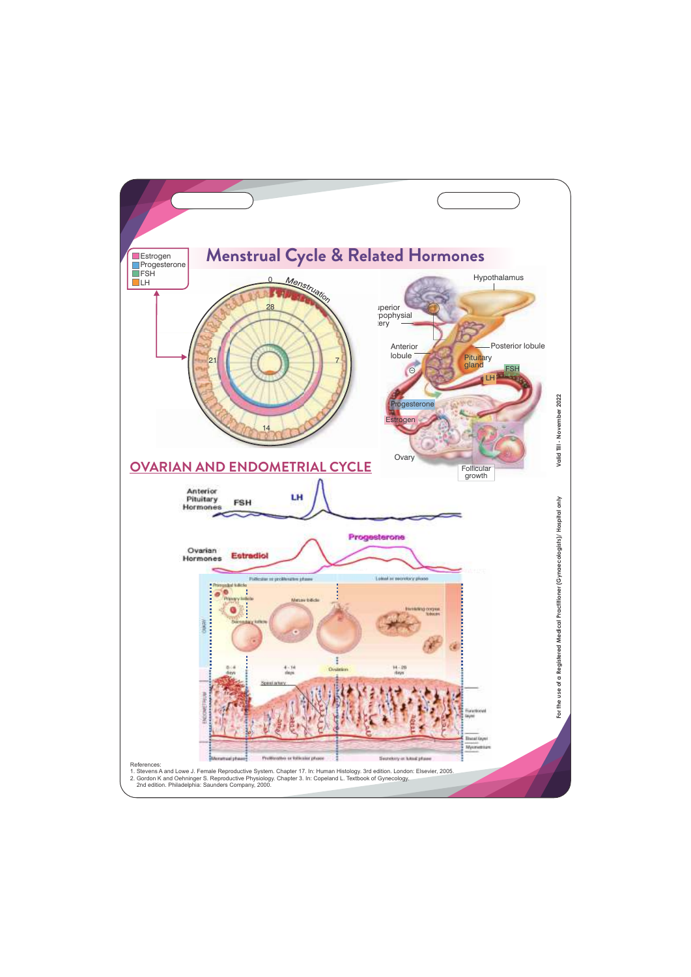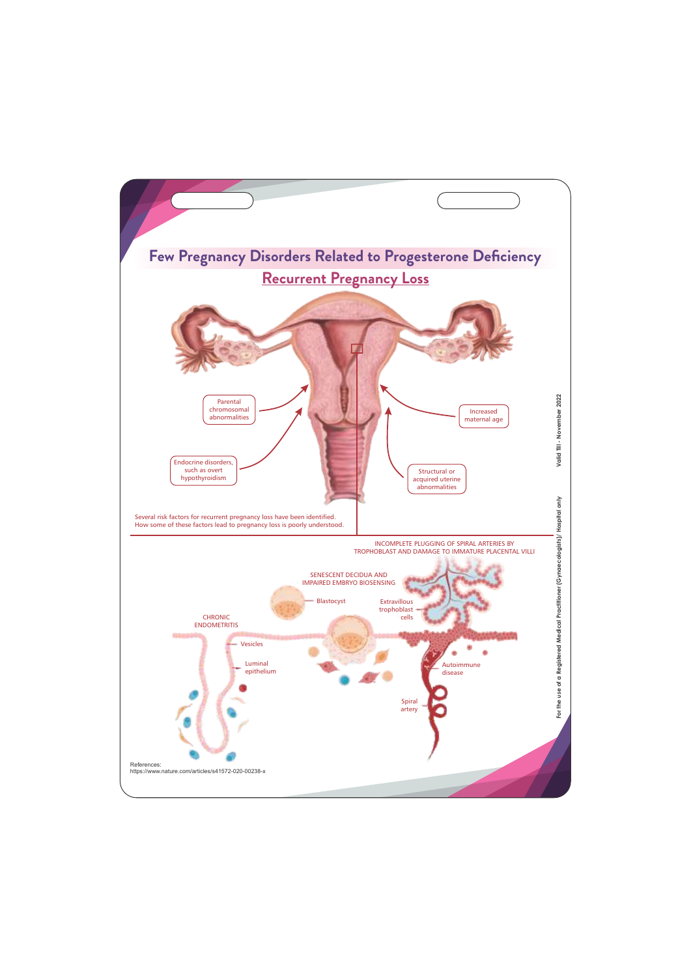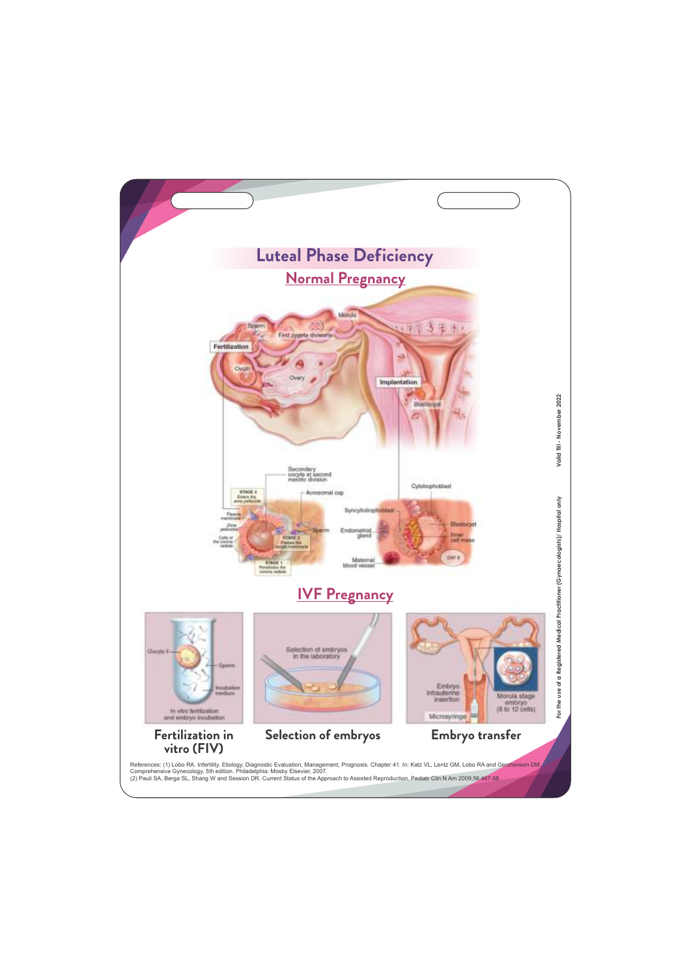